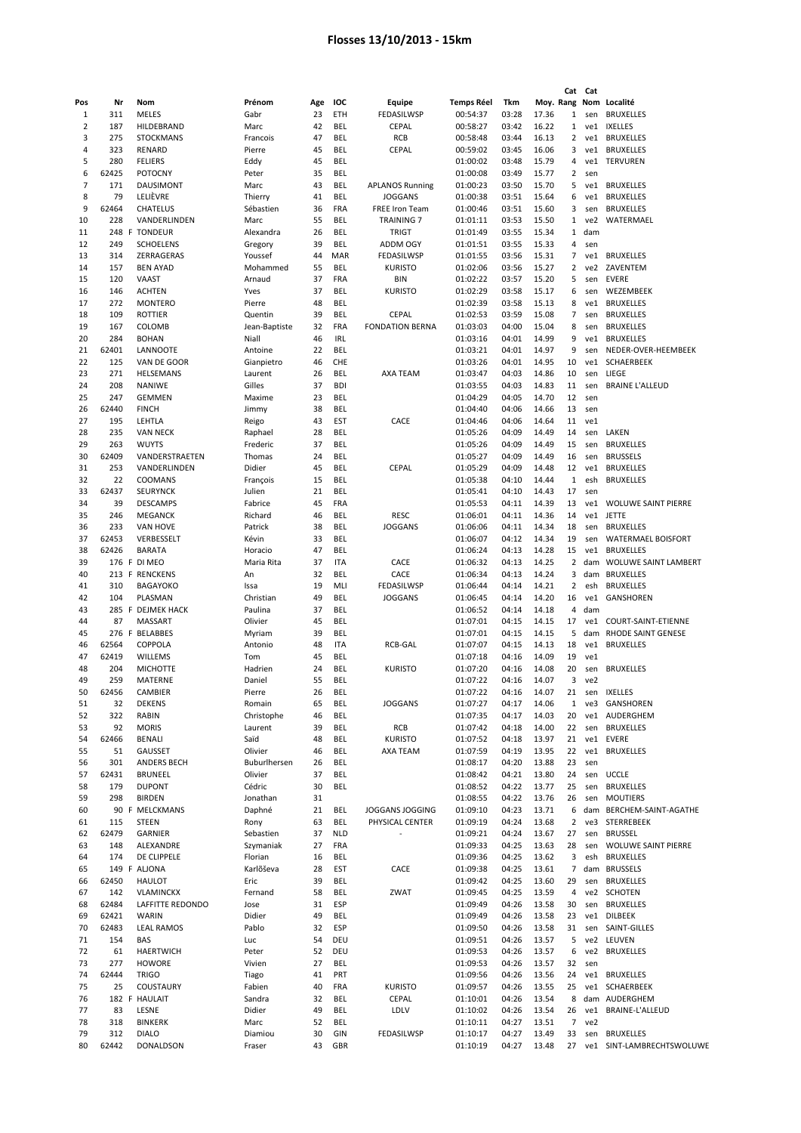|     |       |                    |               |     |            |                          |                   |       |       | Cat            | Cat             |                             |
|-----|-------|--------------------|---------------|-----|------------|--------------------------|-------------------|-------|-------|----------------|-----------------|-----------------------------|
| Pos | Nr    | Nom                | Prénom        | Age | IOC        | Equipe                   | <b>Temps Réel</b> | Tkm   |       | Moy. Rang      |                 | Nom Localité                |
| 1   | 311   | MELES              | Gabr          | 23  | ETH        | FEDASILWSP               | 00:54:37          | 03:28 | 17.36 | 1              | sen             | <b>BRUXELLES</b>            |
| 2   | 187   | HILDEBRAND         | Marc          | 42  | <b>BEL</b> | CEPAL                    | 00:58:27          | 03:42 | 16.22 | 1              |                 | ve1 IXELLES                 |
| 3   | 275   | <b>STOCKMANS</b>   | Francois      | 47  | <b>BEL</b> | <b>RCB</b>               | 00:58:48          | 03:44 | 16.13 | 2              | ve1             | <b>BRUXELLES</b>            |
| 4   | 323   | RENARD             | Pierre        | 45  | BEL        | <b>CEPAL</b>             | 00:59:02          | 03:45 | 16.06 | 3              | ve1             | <b>BRUXELLES</b>            |
| 5   | 280   | <b>FELIERS</b>     | Eddy          | 45  | BEL        |                          | 01:00:02          | 03:48 | 15.79 | 4              | ve1             | <b>TERVUREN</b>             |
| 6   | 62425 | <b>POTOCNY</b>     | Peter         | 35  | <b>BEL</b> |                          | 01:00:08          | 03:49 | 15.77 | $\overline{2}$ | sen             |                             |
| 7   |       |                    |               | 43  | <b>BEL</b> |                          |                   |       |       |                |                 |                             |
|     | 171   | DAUSIMONT          | Marc          |     |            | <b>APLANOS Running</b>   | 01:00:23          | 03:50 | 15.70 | 5              | ve1             | <b>BRUXELLES</b>            |
| 8   | 79    | LELIÈVRE           | Thierry       | 41  | <b>BEL</b> | <b>JOGGANS</b>           | 01:00:38          | 03:51 | 15.64 | 6              | ve1             | <b>BRUXELLES</b>            |
| 9   | 62464 | <b>CHATELUS</b>    | Sébastien     | 36  | FRA        | <b>FREE Iron Team</b>    | 01:00:46          | 03:51 | 15.60 | 3              | sen             | <b>BRUXELLES</b>            |
| 10  | 228   | VANDERLINDEN       | Marc          | 55  | BEL        | <b>TRAINING 7</b>        | 01:01:11          | 03:53 | 15.50 | $\mathbf{1}$   | ve <sub>2</sub> | WATERMAEL                   |
| 11  |       | 248 F TONDEUR      | Alexandra     | 26  | <b>BEL</b> | <b>TRIGT</b>             | 01:01:49          | 03:55 | 15.34 | $\mathbf{1}$   | dam             |                             |
| 12  | 249   | <b>SCHOELENS</b>   | Gregory       | 39  | <b>BEL</b> | <b>ADDM OGY</b>          | 01:01:51          | 03:55 | 15.33 | 4              | sen             |                             |
| 13  | 314   | ZERRAGERAS         | Youssef       | 44  | MAR        | FEDASILWSP               | 01:01:55          | 03:56 | 15.31 | 7              | ve1             | <b>BRUXELLES</b>            |
| 14  | 157   | <b>BEN AYAD</b>    | Mohammed      | 55  | <b>BEL</b> | <b>KURISTO</b>           | 01:02:06          | 03:56 | 15.27 | $\overline{2}$ | ve2             | ZAVENTEM                    |
| 15  | 120   | VAAST              | Arnaud        | 37  | <b>FRA</b> | BIN                      | 01:02:22          | 03:57 | 15.20 | 5              | sen             | <b>EVERE</b>                |
| 16  | 146   | <b>ACHTEN</b>      | Yves          | 37  | BEL        | <b>KURISTO</b>           | 01:02:29          | 03:58 | 15.17 | 6              | sen             | WEZEMBEEK                   |
| 17  | 272   | <b>MONTERO</b>     | Pierre        | 48  | BEL        |                          | 01:02:39          | 03:58 | 15.13 | 8              | ve1             | <b>BRUXELLES</b>            |
| 18  | 109   | ROTTIER            | Quentin       | 39  | <b>BEL</b> | <b>CEPAL</b>             | 01:02:53          | 03:59 | 15.08 | 7              | sen             | <b>BRUXELLES</b>            |
|     |       |                    |               |     |            |                          |                   |       |       |                |                 |                             |
| 19  | 167   | COLOMB             | Jean-Baptiste | 32  | FRA        | <b>FONDATION BERNA</b>   | 01:03:03          | 04:00 | 15.04 | 8              | sen             | <b>BRUXELLES</b>            |
| 20  | 284   | <b>BOHAN</b>       | Niall         | 46  | <b>IRL</b> |                          | 01:03:16          | 04:01 | 14.99 | 9              | ve1             | <b>BRUXELLES</b>            |
| 21  | 62401 | LANNOOTE           | Antoine       | 22  | <b>BEL</b> |                          | 01:03:21          | 04:01 | 14.97 | 9              | sen             | NEDER-OVER-HEEMBEEK         |
| 22  | 125   | VAN DE GOOR        | Gianpietro    | 46  | CHE        |                          | 01:03:26          | 04:01 | 14.95 | 10             | ve1             | SCHAERBEEK                  |
| 23  | 271   | HELSEMANS          | Laurent       | 26  | BEL        | AXA TEAM                 | 01:03:47          | 04:03 | 14.86 | 10             | sen             | LIEGE                       |
| 24  | 208   | <b>NANIWE</b>      | Gilles        | 37  | <b>BDI</b> |                          | 01:03:55          | 04:03 | 14.83 | 11             | sen             | <b>BRAINE L'ALLEUD</b>      |
| 25  | 247   | <b>GEMMEN</b>      | Maxime        | 23  | BEL        |                          | 01:04:29          | 04:05 | 14.70 | 12             | sen             |                             |
| 26  | 62440 | <b>FINCH</b>       | Jimmy         | 38  | <b>BEL</b> |                          | 01:04:40          | 04:06 | 14.66 | 13             | sen             |                             |
| 27  | 195   | LEHTLA             | Reigo         | 43  | EST        | CACE                     | 01:04:46          | 04:06 | 14.64 | 11             | ve1             |                             |
|     | 235   | <b>VAN NECK</b>    |               |     | <b>BEL</b> |                          | 01:05:26          |       | 14.49 |                |                 | LAKEN                       |
| 28  |       |                    | Raphael       | 28  |            |                          |                   | 04:09 |       | 14             | sen             |                             |
| 29  | 263   | <b>WUYTS</b>       | Frederic      | 37  | <b>BEL</b> |                          | 01:05:26          | 04:09 | 14.49 | 15             | sen             | <b>BRUXELLES</b>            |
| 30  | 62409 | VANDERSTRAETEN     | Thomas        | 24  | <b>BEL</b> |                          | 01:05:27          | 04:09 | 14.49 | 16             | sen             | <b>BRUSSELS</b>             |
| 31  | 253   | VANDERLINDEN       | Didier        | 45  | <b>BEL</b> | CEPAL                    | 01:05:29          | 04:09 | 14.48 | 12             | ve1             | <b>BRUXELLES</b>            |
| 32  | 22    | COOMANS            | François      | 15  | <b>BEL</b> |                          | 01:05:38          | 04:10 | 14.44 | 1              | esh             | <b>BRUXELLES</b>            |
| 33  | 62437 | <b>SEURYNCK</b>    | Julien        | 21  | <b>BEL</b> |                          | 01:05:41          | 04:10 | 14.43 | 17             | sen             |                             |
| 34  | 39    | <b>DESCAMPS</b>    | Fabrice       | 45  | FRA        |                          | 01:05:53          | 04:11 | 14.39 | 13             | ve1             | <b>WOLUWE SAINT PIERRE</b>  |
| 35  | 246   | <b>MEGANCK</b>     | Richard       | 46  | BEL        | <b>RESC</b>              | 01:06:01          | 04:11 | 14.36 | 14             | ve1             | <b>JETTE</b>                |
| 36  | 233   | <b>VAN HOVE</b>    | Patrick       | 38  | <b>BEL</b> | <b>JOGGANS</b>           | 01:06:06          | 04:11 | 14.34 | 18             | sen             | <b>BRUXELLES</b>            |
| 37  | 62453 | VERBESSELT         | Kévin         | 33  | <b>BEL</b> |                          | 01:06:07          | 04:12 | 14.34 | 19             | sen             | <b>WATERMAEL BOISFORT</b>   |
| 38  | 62426 | <b>BARATA</b>      | Horacio       | 47  | <b>BEL</b> |                          | 01:06:24          | 04:13 | 14.28 | 15             | ve1             | <b>BRUXELLES</b>            |
| 39  |       | 176 F DI MEO       | Maria Rita    | 37  | <b>ITA</b> | CACE                     | 01:06:32          | 04:13 | 14.25 | 2              | dam             | <b>WOLUWE SAINT LAMBERT</b> |
|     |       |                    |               |     |            |                          |                   |       |       |                |                 |                             |
| 40  |       | 213 F RENCKENS     | An            | 32  | <b>BEL</b> | CACE                     | 01:06:34          | 04:13 | 14.24 | 3              | dam             | BRUXELLES                   |
| 41  | 310   | <b>BAGAYOKO</b>    | Issa          | 19  | MLI        | FEDASILWSP               | 01:06:44          | 04:14 | 14.21 | 2              | esh             | <b>BRUXELLES</b>            |
| 42  | 104   | PLASMAN            | Christian     | 49  | BEL        | <b>JOGGANS</b>           | 01:06:45          | 04:14 | 14.20 | 16             | ve1             | GANSHOREN                   |
| 43  |       | 285 F DEJMEK HACK  | Paulina       | 37  | BEL        |                          | 01:06:52          | 04:14 | 14.18 | 4              | dam             |                             |
| 44  | 87    | MASSART            | Olivier       | 45  | BEL        |                          | 01:07:01          | 04:15 | 14.15 | 17             | ve1             | COURT-SAINT-ETIENNE         |
| 45  |       | 276 F BELABBES     | Myriam        | 39  | <b>BEL</b> |                          | 01:07:01          | 04:15 | 14.15 | 5              | dam             | RHODE SAINT GENESE          |
| 46  | 62564 | <b>COPPOLA</b>     | Antonio       | 48  | <b>ITA</b> | <b>RCB-GAL</b>           | 01:07:07          | 04:15 | 14.13 | 18             | ve1             | <b>BRUXELLES</b>            |
| 47  | 62419 | <b>WILLEMS</b>     | Tom           | 45  | <b>BEL</b> |                          | 01:07:18          | 04:16 | 14.09 | 19             | ve1             |                             |
| 48  | 204   | <b>MICHOTTE</b>    | Hadrien       | 24  | BEL        | <b>KURISTO</b>           | 01:07:20          | 04:16 | 14.08 | 20             | sen             | <b>BRUXELLES</b>            |
| 49  | 259   | MATERNE            | Daniel        | 55  | <b>BEL</b> |                          | 01:07:22          | 04:16 | 14.07 | 3              | ve2             |                             |
|     |       |                    |               |     |            |                          |                   |       |       |                |                 |                             |
| 50  | 62456 | CAMBIER            | Pierre        | 26  | <b>BEL</b> |                          | 01:07:22          | 04:16 | 14.07 | 21             | sen             | IXELLES                     |
| 51  | 32    | <b>DEKENS</b>      | Romain        | 65  | <b>BEL</b> | <b>JOGGANS</b>           | 01:07:27          | 04:17 | 14.06 | $\mathbf{1}$   |                 | ve3 GANSHOREN               |
| 52  | 322   | <b>RABIN</b>       | Christophe    | 46  | <b>BEL</b> |                          | 01:07:35          | 04:17 | 14.03 | 20             | ve1             | AUDERGHEM                   |
| 53  | 92    | <b>MORIS</b>       | Laurent       | 39  | BEL        | RCB                      | 01:07:42          | 04:18 | 14.00 | 22             | sen             | <b>BRUXELLES</b>            |
| 54  | 62466 | BENALI             | Saïd          | 48  | <b>BEL</b> | <b>KURISTO</b>           | 01:07:52          | 04:18 | 13.97 | 21             | ve1             | EVERE                       |
| 55  | 51    | GAUSSET            | Olivier       | 46  | BEL        | AXA TEAM                 | 01:07:59          | 04:19 | 13.95 | 22             | ve1             | <b>BRUXELLES</b>            |
| 56  | 301   | <b>ANDERS BECH</b> | Buburlhersen  | 26  | BEL        |                          | 01:08:17          | 04:20 | 13.88 | 23             | sen             |                             |
| 57  | 62431 | <b>BRUNEEL</b>     | Olivier       | 37  | BEL        |                          | 01:08:42          | 04:21 | 13.80 | 24             | sen             | <b>UCCLE</b>                |
| 58  | 179   | <b>DUPONT</b>      | Cédric        | 30  | BEL        |                          | 01:08:52          | 04:22 | 13.77 | 25             | sen             | <b>BRUXELLES</b>            |
| 59  | 298   | <b>BIRDEN</b>      | Jonathan      | 31  |            |                          | 01:08:55          | 04:22 | 13.76 | 26             | sen             | <b>MOUTIERS</b>             |
| 60  |       | 90 F MELCKMANS     | Daphné        | 21  | <b>BEL</b> | JOGGANS JOGGING          | 01:09:10          | 04:23 | 13.71 | 6              | dam             | BERCHEM-SAINT-AGATHE        |
| 61  | 115   | <b>STEEN</b>       | Rony          | 63  | <b>BEL</b> | PHYSICAL CENTER          | 01:09:19          | 04:24 | 13.68 | 2              | ve3             | STERREBEEK                  |
|     |       |                    |               |     |            |                          |                   |       |       |                |                 |                             |
| 62  | 62479 | GARNIER            | Sebastien     | 37  | <b>NLD</b> | $\overline{\phantom{a}}$ | 01:09:21          | 04:24 | 13.67 | 27             | sen             | <b>BRUSSEL</b>              |
| 63  | 148   | ALEXANDRE          | Szymaniak     | 27  | FRA        |                          | 01:09:33          | 04:25 | 13.63 | 28             | sen             | <b>WOLUWE SAINT PIERRE</b>  |
| 64  | 174   | DE CLIPPELE        | Florian       | 16  | <b>BEL</b> |                          | 01:09:36          | 04:25 | 13.62 | 3              | esh             | <b>BRUXELLES</b>            |
| 65  |       | 149 F ALJONA       | Karlõševa     | 28  | EST        | CACE                     | 01:09:38          | 04:25 | 13.61 | 7              |                 | dam BRUSSELS                |
| 66  | 62450 | <b>HAULOT</b>      | Eric          | 39  | BEL        |                          | 01:09:42          | 04:25 | 13.60 | 29             | sen             | <b>BRUXELLES</b>            |
| 67  | 142   | <b>VLAMINCKX</b>   | Fernand       | 58  | <b>BEL</b> | ZWAT                     | 01:09:45          | 04:25 | 13.59 | 4              | ve2             | <b>SCHOTEN</b>              |
| 68  | 62484 | LAFFITTE REDONDO   | Jose          | 31  | ESP        |                          | 01:09:49          | 04:26 | 13.58 | 30             | sen             | <b>BRUXELLES</b>            |
| 69  | 62421 | WARIN              | Didier        | 49  | BEL        |                          | 01:09:49          | 04:26 | 13.58 | 23             | ve1             | <b>DILBEEK</b>              |
| 70  | 62483 | <b>LEAL RAMOS</b>  | Pablo         | 32  | ESP        |                          | 01:09:50          | 04:26 | 13.58 | 31             | sen             | SAINT-GILLES                |
| 71  | 154   | <b>BAS</b>         | Luc           | 54  | DEU        |                          | 01:09:51          | 04:26 | 13.57 | 5              | ve2             | LEUVEN                      |
| 72  | 61    | <b>HAERTWICH</b>   | Peter         | 52  | DEU        |                          | 01:09:53          | 04:26 | 13.57 | 6              | ve2             | <b>BRUXELLES</b>            |
|     |       |                    |               |     |            |                          |                   |       |       |                |                 |                             |
| 73  | 277   | HOWORE             | Vivien        | 27  | <b>BEL</b> |                          | 01:09:53          | 04:26 | 13.57 | 32             | sen             |                             |
| 74  | 62444 | <b>TRIGO</b>       | Tiago         | 41  | PRT        |                          | 01:09:56          | 04:26 | 13.56 | 24             |                 | ve1 BRUXELLES               |
| 75  | 25    | COUSTAURY          | Fabien        | 40  | FRA        | <b>KURISTO</b>           | 01:09:57          | 04:26 | 13.55 | 25             | ve1             | SCHAERBEEK                  |
| 76  |       | 182 F HAULAIT      | Sandra        | 32  | <b>BEL</b> | CEPAL                    | 01:10:01          | 04:26 | 13.54 | 8              |                 | dam AUDERGHEM               |
| 77  | 83    | LESNE              | Didier        | 49  | <b>BEL</b> | LDLV                     | 01:10:02          | 04:26 | 13.54 | 26             | ve1             | BRAINE-L'ALLEUD             |
| 78  | 318   | <b>BINKERK</b>     | Marc          | 52  | BEL        |                          | 01:10:11          | 04:27 | 13.51 | 7              | ve2             |                             |
| 79  | 312   | <b>DIALO</b>       | Diamiou       | 30  | GIN        | FEDASILWSP               | 01:10:17          | 04:27 | 13.49 | 33             | sen             | <b>BRUXELLES</b>            |
| 80  | 62442 | DONALDSON          | Fraser        | 43  | GBR        |                          | 01:10:19          | 04:27 | 13.48 | 27             |                 | ve1 SINT-LAMBRECHTSWOLUWE   |
|     |       |                    |               |     |            |                          |                   |       |       |                |                 |                             |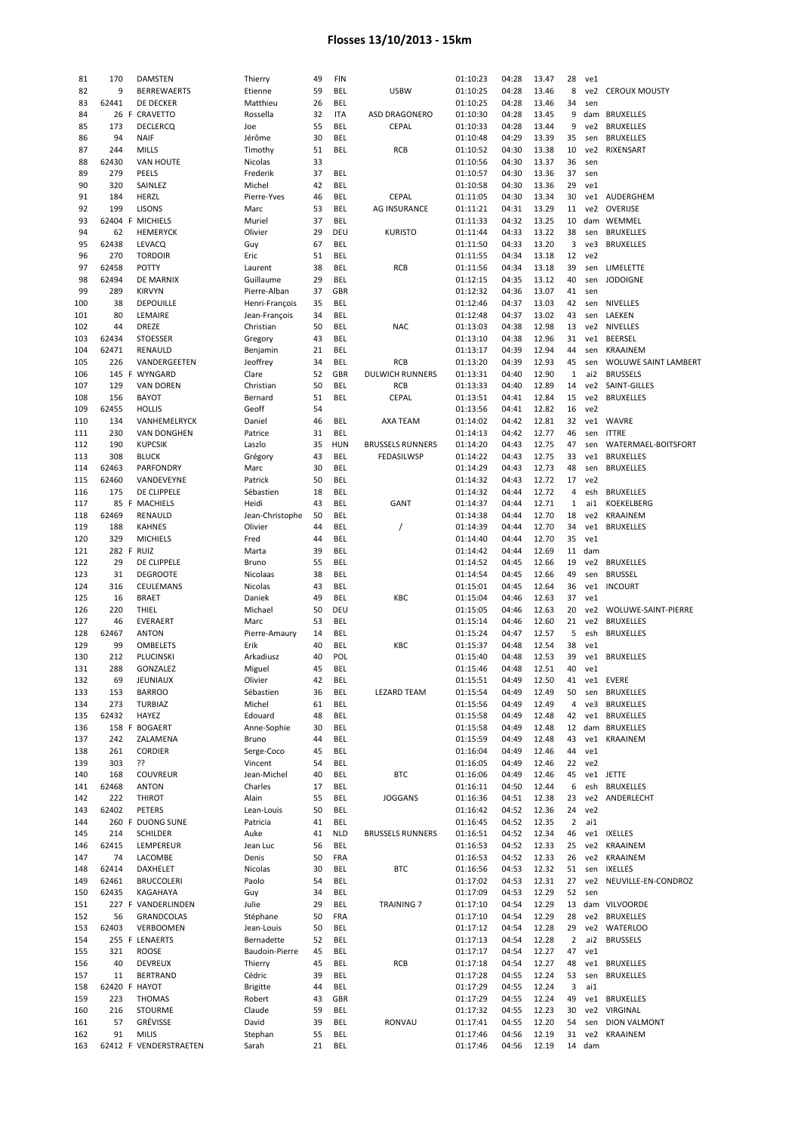| 81         | 170           |    | <b>DAMSTEN</b>                  | Thierry          | 49       | <b>FIN</b>        |                         | 01:10:23             | 04:28          | 13.47          | 28             | ve1           |                             |
|------------|---------------|----|---------------------------------|------------------|----------|-------------------|-------------------------|----------------------|----------------|----------------|----------------|---------------|-----------------------------|
| 82         | 9             |    | <b>BERREWAERTS</b>              | Etienne          | 59       | BEL               | <b>USBW</b>             | 01:10:25             | 04:28          | 13.46          | 8              | ve2           | <b>CEROUX MOUSTY</b>        |
|            |               |    |                                 |                  |          |                   |                         |                      |                |                |                |               |                             |
| 83         | 62441         |    | DE DECKER                       | Matthieu         | 26       | BEL               |                         | 01:10:25             | 04:28          | 13.46          | 34             | sen           |                             |
| 84         |               |    | 26 F CRAVETTO                   | Rossella         | 32       | ITA               | <b>ASD DRAGONERO</b>    | 01:10:30             | 04:28          | 13.45          | 9              |               | dam BRUXELLES               |
| 85         | 173           |    | <b>DECLERCQ</b>                 | Joe              | 55       | BEL               | <b>CEPAL</b>            | 01:10:33             | 04:28          | 13.44          | 9              | ve2           | <b>BRUXELLES</b>            |
| 86         | 94            |    | <b>NAIF</b>                     | Jérôme           | 30       | BEL               |                         | 01:10:48             | 04:29          | 13.39          | 35             | sen           | <b>BRUXELLES</b>            |
| 87         | 244           |    | <b>MILLS</b>                    | Timothy          | 51       | <b>BEL</b>        | <b>RCB</b>              | 01:10:52             | 04:30          | 13.38          | 10             | ve2           | RIXENSART                   |
| 88         | 62430         |    | <b>VAN HOUTE</b>                |                  | 33       |                   |                         | 01:10:56             | 04:30          | 13.37          | 36             |               |                             |
|            |               |    |                                 | Nicolas          |          |                   |                         |                      |                |                |                | sen           |                             |
| 89         | 279           |    | PEELS                           | Frederik         | 37       | BEL               |                         | 01:10:57             | 04:30          | 13.36          | 37             | sen           |                             |
| 90         | 320           |    | SAINLEZ                         | Michel           | 42       | BEL               |                         | 01:10:58             | 04:30          | 13.36          | 29             | ve1           |                             |
| 91         | 184           |    | HERZL                           | Pierre-Yves      | 46       | BEL               | <b>CEPAL</b>            | 01:11:05             | 04:30          | 13.34          | 30             |               | ve1 AUDERGHEM               |
| 92         | 199           |    | <b>LISONS</b>                   | Marc             | 53       | BEL               | <b>AG INSURANCE</b>     | 01:11:21             | 04:31          | 13.29          | 11             | ve2           | OVERIJSE                    |
|            |               |    |                                 |                  |          |                   |                         |                      |                |                |                |               |                             |
| 93         |               |    | 62404 F MICHIELS                | Muriel           | 37       | <b>BEL</b>        |                         | 01:11:33             | 04:32          | 13.25          | 10             |               | dam WEMMEL                  |
| 94         | 62            |    | <b>HEMERYCK</b>                 | Olivier          | 29       | DEU               | <b>KURISTO</b>          | 01:11:44             | 04:33          | 13.22          | 38             | sen           | <b>BRUXELLES</b>            |
| 95         | 62438         |    | LEVACQ                          | Guy              | 67       | BEL               |                         | 01:11:50             | 04:33          | 13.20          | 3              | ve3           | <b>BRUXELLES</b>            |
| 96         | 270           |    | <b>TORDOIR</b>                  | Eric             | 51       | BEL               |                         | 01:11:55             | 04:34          | 13.18          | 12             | ve2           |                             |
|            |               |    |                                 |                  |          |                   |                         |                      |                |                |                |               |                             |
| 97         | 62458         |    | POTTY                           | Laurent          | 38       | BEL               | RCB                     | 01:11:56             | 04:34          | 13.18          | 39             | sen           | LIMELETTE                   |
| 98         | 62494         |    | DE MARNIX                       | Guillaume        | 29       | BEL               |                         | 01:12:15             | 04:35          | 13.12          | 40             | sen           | <b>JODOIGNE</b>             |
| 99         | 289           |    | <b>KIRVYN</b>                   | Pierre-Alban     | 37       | GBR               |                         | 01:12:32             | 04:36          | 13.07          | 41             | sen           |                             |
| 100        | 38            |    | <b>DEPOUILLE</b>                | Henri-François   | 35       | BEL               |                         | 01:12:46             | 04:37          | 13.03          | 42             | sen           | NIVELLES                    |
| 101        | 80            |    | LEMAIRE                         | Jean-François    | 34       | BEL               |                         | 01:12:48             | 04:37          | 13.02          | 43             | sen           | LAEKEN                      |
|            |               |    |                                 |                  |          |                   |                         |                      |                |                |                |               |                             |
| 102        | 44            |    | <b>DREZE</b>                    | Christian        | 50       | BEL               | <b>NAC</b>              | 01:13:03             | 04:38          | 12.98          | 13             |               | ve2 NIVELLES                |
| 103        | 62434         |    | <b>STOESSER</b>                 | Gregory          | 43       | BEL               |                         | 01:13:10             | 04:38          | 12.96          | 31             | ve1           | <b>BEERSEL</b>              |
| 104        | 62471         |    | RENAULD                         | Benjamin         | 21       | BEL               |                         | 01:13:17             | 04:39          | 12.94          | 44             | sen           | KRAAINEM                    |
| 105        | 226           |    | VANDERGEETEN                    | Jeoffrey         | 34       | BEL               | RCB                     | 01:13:20             | 04:39          | 12.93          | 45             | sen           | <b>WOLUWE SAINT LAMBERT</b> |
|            |               |    |                                 |                  |          |                   |                         |                      |                |                |                |               |                             |
| 106        |               |    | 145 F WYNGARD                   | Clare            | 52       | GBR               | <b>DULWICH RUNNERS</b>  | 01:13:31             | 04:40          | 12.90          | $\mathbf{1}$   | ai2           | <b>BRUSSELS</b>             |
| 107        | 129           |    | <b>VAN DOREN</b>                | Christian        | 50       | <b>BEL</b>        | <b>RCB</b>              | 01:13:33             | 04:40          | 12.89          | 14             | ve2           | SAINT-GILLES                |
| 108        | 156           |    | <b>BAYOT</b>                    | Bernard          | 51       | BEL               | <b>CEPAL</b>            | 01:13:51             | 04:41          | 12.84          | 15             | ve2           | <b>BRUXELLES</b>            |
| 109        | 62455         |    | <b>HOLLIS</b>                   | Geoff            | 54       |                   |                         | 01:13:56             | 04:41          | 12.82          | 16             | ve2           |                             |
|            |               |    |                                 |                  |          |                   |                         |                      |                |                |                |               |                             |
| 110        | 134           |    | VANHEMELRYCK                    | Daniel           | 46       | BEL               | AXA TEAM                | 01:14:02             | 04:42          | 12.81          | 32             | ve1           | WAVRE                       |
| 111        | 230           |    | <b>VAN DONGHEN</b>              | Patrice          | 31       | BEL               |                         | 01:14:13             | 04:42          | 12.77          | 46             | sen           | <b>ITTRE</b>                |
| 112        | 190           |    | <b>KUPCSIK</b>                  | Laszlo           | 35       | <b>HUN</b>        | <b>BRUSSELS RUNNERS</b> | 01:14:20             | 04:43          | 12.75          | 47             | sen           | WATERMAEL-BOITSFORT         |
| 113        | 308           |    | <b>BLUCK</b>                    | Grégory          | 43       | <b>BEL</b>        | FEDASILWSP              | 01:14:22             | 04:43          | 12.75          | 33             | ve1           | <b>BRUXELLES</b>            |
|            | 62463         |    | PARFONDRY                       |                  | 30       | BEL               |                         | 01:14:29             | 04:43          | 12.73          | 48             |               |                             |
| 114        |               |    |                                 | Marc             |          |                   |                         |                      |                |                |                | sen           | <b>BRUXELLES</b>            |
| 115        | 62460         |    | VANDEVEYNE                      | Patrick          | 50       | <b>BEL</b>        |                         | 01:14:32             | 04:43          | 12.72          | 17             | ve2           |                             |
| 116        | 175           |    | DE CLIPPELE                     | Sébastien        | 18       | BEL               |                         | 01:14:32             | 04:44          | 12.72          | 4              | esh           | <b>BRUXELLES</b>            |
| 117        |               |    | 85 F MACHIELS                   | Heidi            | 43       | BEL               | GANT                    | 01:14:37             | 04:44          | 12.71          | 1              | ai1           | KOEKELBERG                  |
| 118        | 62469         |    | RENAULD                         | Jean-Christophe  | 50       | BEL               |                         | 01:14:38             | 04:44          | 12.70          | 18             | ve2           | <b>KRAAINEM</b>             |
|            |               |    |                                 |                  |          |                   |                         |                      |                |                |                |               |                             |
| 119        | 188           |    | <b>KAHNES</b>                   | Olivier          | 44       | BEL               | $\prime$                | 01:14:39             | 04:44          | 12.70          | 34             | ve1           | <b>BRUXELLES</b>            |
| 120        | 329           |    | <b>MICHIELS</b>                 | Fred             | 44       | BEL               |                         | 01:14:40             | 04:44          | 12.70          | 35             | ve1           |                             |
| 121        | 282 F RUIZ    |    |                                 | Marta            | 39       | BEL               |                         | 01:14:42             | 04:44          | 12.69          | 11             | dam           |                             |
| 122        | 29            |    | DE CLIPPELE                     | Bruno            | 55       | BEL               |                         | 01:14:52             | 04:45          | 12.66          | 19             | ve2           | <b>BRUXELLES</b>            |
|            |               |    |                                 |                  |          |                   |                         |                      |                |                |                |               |                             |
| 123        | 31            |    | <b>DEGROOTE</b>                 | Nicolaas         | 38       | BEL               |                         | 01:14:54             | 04:45          | 12.66          | 49             | sen           | <b>BRUSSEL</b>              |
| 124        | 316           |    | CEULEMANS                       | Nicolas          | 43       | BEL               |                         | 01:15:01             | 04:45          | 12.64          | 36             | ve1           | <b>INCOURT</b>              |
| 125        | 16            |    | <b>BRAET</b>                    | Daniek           | 49       | BEL               | KBC                     | 01:15:04             | 04:46          | 12.63          | 37             | ve1           |                             |
| 126        | 220           |    | THIEL                           | Michael          | 50       | DEU               |                         | 01:15:05             | 04:46          | 12.63          | 20             | ve2           | WOLUWE-SAINT-PIERRE         |
|            |               |    |                                 |                  |          |                   |                         |                      |                |                |                |               |                             |
| 127        | 46            |    | <b>EVERAERT</b>                 | Marc             | 53       | BEL               |                         | 01:15:14             | 04:46          | 12.60          | 21             | ve2           | <b>BRUXELLES</b>            |
| 128        | 62467         |    | <b>ANTON</b>                    | Pierre-Amaury    | 14       | BEL               |                         | 01:15:24             | 04:47          | 12.57          | 5              | esh           | <b>BRUXELLES</b>            |
| 129        | 99            |    | <b>OMBELETS</b>                 | Erik             | 40       | BEL               | KBC                     | 01:15:37             | 04:48          | 12.54          | 38             | ve1           |                             |
| 130        | 212           |    | PLUCINSKI                       | Arkadiusz        | 40       | POL               |                         | 01:15:40             | 04:48          | 12.53          | 39             | ve1           | <b>BRUXELLES</b>            |
| 131        | 288           |    | GONZALEZ                        | Miguel           | 45       | BEL               |                         | 01:15:46             | 04:48          | 12.51          | 40             | ve1           |                             |
|            |               |    |                                 |                  |          |                   |                         |                      |                |                |                |               |                             |
| 132        | 69            |    | JEUNIAUX                        | Olivier          | 42       | BEL               |                         | 01:15:51             | 04:49          | 12.50          | 41             | ve1           | EVERE                       |
| 133        | 153           |    | <b>BARROO</b>                   | Sébastien        | 36       | BEL               | <b>LEZARD TEAM</b>      | 01:15:54             | 04:49          | 12.49          | 50             | sen           | <b>BRUXELLES</b>            |
| 134        | 273           |    | <b>TURBIAZ</b>                  | Michel           | 61       | BEL               |                         | 01:15:56             | 04:49          | 12.49          | 4              | ve3           | <b>BRUXELLES</b>            |
| 135        | 62432         |    | HAYEZ                           | Edouard          | 48       | BEL               |                         | 01:15:58             | 04:49          | 12.48          | 42             | ve1           | <b>BRUXELLES</b>            |
|            |               |    | 158 F BOGAERT                   | Anne-Sophie      | 30       | BEL               |                         |                      | 04:49          | 12.48          | 12             |               | dam BRUXELLES               |
| 136        |               |    |                                 |                  |          |                   |                         | 01:15:58             |                |                |                |               |                             |
| 137        | 242           |    | ZALAMENA                        | Bruno            | 44       | BEL               |                         | 01:15:59             | 04:49          | 12.48          | 43             | ve1           | KRAAINEM                    |
| 138        | 261           |    | <b>CORDIER</b>                  | Serge-Coco       | 45       | BEL               |                         | 01:16:04             | 04:49          | 12.46          | 44             | ve1           |                             |
| 139        | 303           |    | 55                              | Vincent          | 54       | BEL               |                         | 01:16:05             | 04:49          | 12.46          | 22             | ve2           |                             |
| 140        | 168           |    | <b>COUVREUR</b>                 | Jean-Michel      | 40       | BEL               | <b>BTC</b>              | 01:16:06             | 04:49          | 12.46          | 45             |               | ve1 JETTE                   |
|            |               |    |                                 |                  |          |                   |                         |                      |                |                |                |               |                             |
| 141        | 62468         |    | <b>ANTON</b>                    | Charles          | 17       | BEL               |                         | 01:16:11             | 04:50          | 12.44          | 6              | esh           | <b>BRUXELLES</b>            |
| 142        | 222           |    | <b>THIROT</b>                   | Alain            | 55       | BEL               | <b>JOGGANS</b>          | 01:16:36             | 04:51          | 12.38          | 23             |               | ve2 ANDERLECHT              |
| 143        | 62402         |    | PETERS                          | Lean-Louis       | 50       | BEL               |                         | 01:16:42             | 04:52          | 12.36          | 24             | ve2           |                             |
| 144        | 260           | F. | DUONG SUNE                      | Patricia         | 41       | <b>BEL</b>        |                         | 01:16:45             | 04:52          | 12.35          | $\overline{2}$ | ai1           |                             |
|            |               |    |                                 |                  | 41       |                   |                         |                      | 04:52          | 12.34          |                |               | <b>IXELLES</b>              |
| 145        | 214           |    | SCHILDER                        | Auke             |          | <b>NLD</b>        | <b>BRUSSELS RUNNERS</b> | 01:16:51             |                |                | 46             | ve1           |                             |
| 146        | 62415         |    | LEMPEREUR                       | Jean Luc         | 56       | BEL               |                         | 01:16:53             | 04:52          | 12.33          | 25             | ve2           | KRAAINEM                    |
| 147        | 74            |    | LACOMBE                         | Denis            | 50       | FRA               |                         | 01:16:53             | 04:52          | 12.33          | 26             | ve2           | KRAAINEM                    |
| 148        | 62414         |    | DAXHELET                        | Nicolas          | 30       | BEL               | <b>BTC</b>              | 01:16:56             | 04:53          | 12.32          | 51             | sen           | IXELLES                     |
| 149        | 62461         |    | <b>BRUCCOLERI</b>               | Paolo            | 54       | BEL               |                         | 01:17:02             | 04:53          | 12.31          | 27             | ve2           | NEUVILLE-EN-CONDROZ         |
|            |               |    |                                 |                  |          |                   |                         |                      |                |                |                |               |                             |
| 150        | 62435         |    | KAGAHAYA                        | Guy              | 34       | BEL               |                         | 01:17:09             | 04:53          | 12.29          | 52             | sen           |                             |
| 151        | 227 F         |    | VANDERLINDEN                    | Julie            | 29       | BEL               | <b>TRAINING 7</b>       | 01:17:10             | 04:54          | 12.29          | 13             |               | dam VILVOORDE               |
| 152        | 56            |    | GRANDCOLAS                      | Stéphane         | 50       | FRA               |                         | 01:17:10             | 04:54          | 12.29          | 28             |               | ve2 BRUXELLES               |
| 153        | 62403         |    | VERBOOMEN                       | Jean-Louis       | 50       | BEL               |                         | 01:17:12             | 04:54          | 12.28          | 29             |               | ve2 WATERLOO                |
|            |               |    |                                 |                  |          |                   |                         |                      |                |                |                |               |                             |
| 154        |               |    | 255 F LENAERTS                  | Bernadette       | 52       | BEL               |                         | 01:17:13             | 04:54          | 12.28          | 2              | ai2           | <b>BRUSSELS</b>             |
| 155        | 321           |    | ROOSE                           | Baudoin-Pierre   | 45       | BEL               |                         | 01:17:17             | 04:54          | 12.27          | 47             | ve1           |                             |
| 156        | 40            |    | <b>DEVREUX</b>                  | Thierry          | 45       | BEL               | RCB                     | 01:17:18             | 04:54          | 12.27          | 48             | ve1           | <b>BRUXELLES</b>            |
| 157        | 11            |    | <b>BERTRAND</b>                 | Cédric           | 39       | BEL               |                         | 01:17:28             | 04:55          | 12.24          | 53             | sen           | <b>BRUXELLES</b>            |
|            |               |    |                                 |                  |          |                   |                         |                      |                |                |                |               |                             |
| 158        | 62420 F HAYOT |    |                                 | <b>Brigitte</b>  | 44       | BEL               |                         | 01:17:29             | 04:55          | 12.24          | 3              | ai1           |                             |
| 159        | 223           |    | <b>THOMAS</b>                   | Robert           | 43       | GBR               |                         | 01:17:29             | 04:55          | 12.24          | 49             | ve1           | <b>BRUXELLES</b>            |
| 160        | 216           |    | STOURME                         | Claude           | 59       | BEL               |                         | 01:17:32             | 04:55          | 12.23          | 30             | ve2           | VIRGINAL                    |
|            |               |    |                                 |                  | 39       | BEL               | RONVAU                  | 01:17:41             | 04:55          |                | 54             |               |                             |
|            |               |    |                                 |                  |          |                   |                         |                      |                |                |                |               |                             |
| 161        | 57            |    | GRÉVISSE                        | David            |          |                   |                         |                      |                | 12.20          |                | sen           | <b>DION VALMONT</b>         |
| 162<br>163 | 91            |    | MILIS<br>62412 F VENDERSTRAETEN | Stephan<br>Sarah | 55<br>21 | BEL<br><b>BEL</b> |                         | 01:17:46<br>01:17:46 | 04:56<br>04:56 | 12.19<br>12.19 | 31             | ve2<br>14 dam | KRAAINEM                    |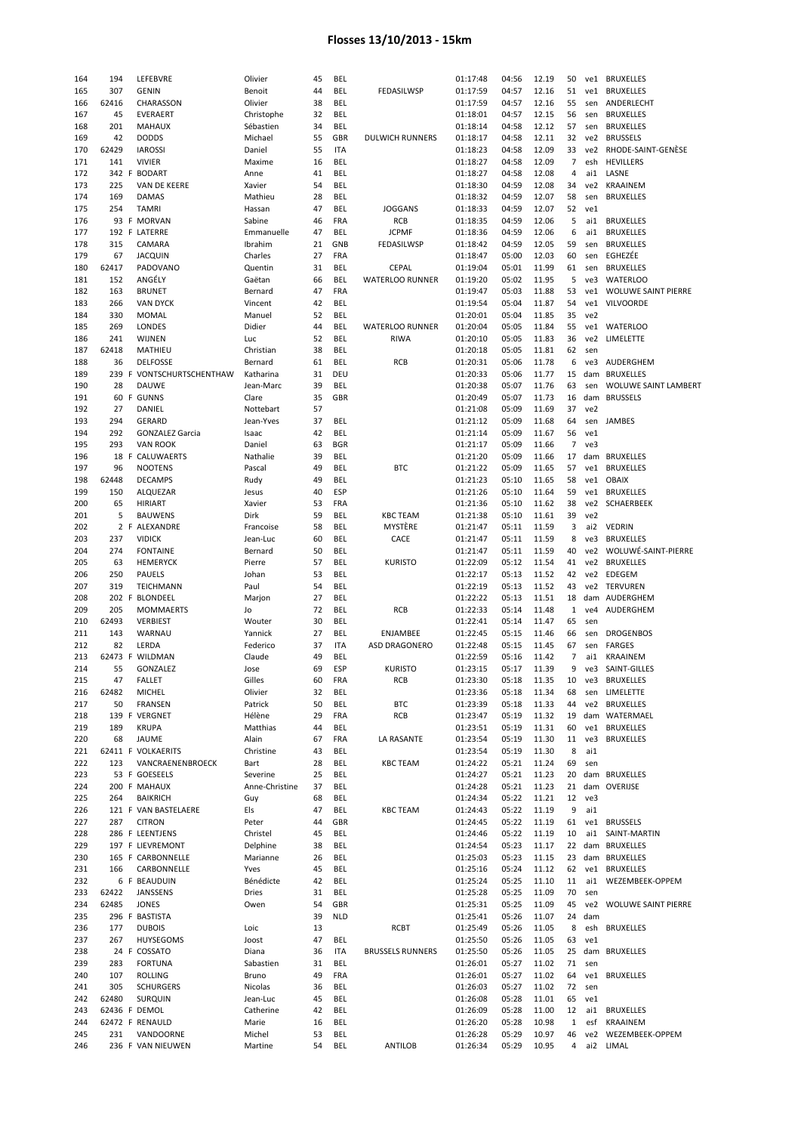| 164 | 194           | LEFEBVRE                  | Olivier        | 45 | <b>BEL</b> |                         | 01:17:48 | 04:56 | 12.19 | 50             | ve1 | <b>BRUXELLES</b>           |
|-----|---------------|---------------------------|----------------|----|------------|-------------------------|----------|-------|-------|----------------|-----|----------------------------|
| 165 | 307           | GENIN                     | Benoit         | 44 | BEL        | FEDASILWSP              | 01:17:59 | 04:57 | 12.16 | 51             | ve1 | <b>BRUXELLES</b>           |
| 166 | 62416         | CHARASSON                 | Olivier        | 38 | BEL        |                         | 01:17:59 | 04:57 | 12.16 | 55             | sen | ANDERLECHT                 |
| 167 | 45            | EVERAERT                  |                | 32 | BEL        |                         | 01:18:01 | 04:57 | 12.15 | 56             |     | <b>BRUXELLES</b>           |
|     |               |                           | Christophe     |    |            |                         |          |       |       |                | sen |                            |
| 168 | 201           | <b>MAHAUX</b>             | Sébastien      | 34 | BEL        |                         | 01:18:14 | 04:58 | 12.12 | 57             | sen | <b>BRUXELLES</b>           |
| 169 | 42            | <b>DODDS</b>              | Michael        | 55 | GBR        | <b>DULWICH RUNNERS</b>  | 01:18:17 | 04:58 | 12.11 | 32             | ve2 | <b>BRUSSELS</b>            |
| 170 | 62429         | <b>IAROSSI</b>            | Daniel         | 55 | <b>ITA</b> |                         | 01:18:23 | 04:58 | 12.09 | 33             | ve2 | RHODE-SAINT-GENÈSE         |
| 171 | 141           | <b>VIVIER</b>             | Maxime         | 16 | BEL        |                         | 01:18:27 | 04:58 | 12.09 | $\overline{7}$ | esh | <b>HEVILLERS</b>           |
| 172 |               | 342 F BODART              | Anne           | 41 | BEL        |                         | 01:18:27 | 04:58 | 12.08 | 4              | ai1 | LASNE                      |
| 173 | 225           | VAN DE KEERE              | Xavier         | 54 | BEL        |                         | 01:18:30 | 04:59 | 12.08 | 34             | ve2 | <b>KRAAINEM</b>            |
| 174 | 169           | DAMAS                     | Mathieu        | 28 | BEL        |                         | 01:18:32 | 04:59 | 12.07 | 58             | sen | <b>BRUXELLES</b>           |
| 175 | 254           | <b>TAMRI</b>              | Hassan         | 47 | BEL        | <b>JOGGANS</b>          | 01:18:33 | 04:59 | 12.07 | 52             | ve1 |                            |
|     |               | 93 F MORVAN               |                |    |            | RCB                     |          |       |       | 5              | ai1 |                            |
| 176 |               |                           | Sabine         | 46 | FRA        |                         | 01:18:35 | 04:59 | 12.06 |                |     | <b>BRUXELLES</b>           |
| 177 |               | 192 F LATERRE             | Emmanuelle     | 47 | BEL        | <b>JCPMF</b>            | 01:18:36 | 04:59 | 12.06 | 6              | ai1 | <b>BRUXELLES</b>           |
| 178 | 315           | CAMARA                    | Ibrahim        | 21 | GNB        | FEDASILWSP              | 01:18:42 | 04:59 | 12.05 | 59             | sen | <b>BRUXELLES</b>           |
| 179 | 67            | <b>JACQUIN</b>            | Charles        | 27 | <b>FRA</b> |                         | 01:18:47 | 05:00 | 12.03 | 60             | sen | EGHEZÉE                    |
| 180 | 62417         | PADOVANO                  | Quentin        | 31 | <b>BEL</b> | CEPAL                   | 01:19:04 | 05:01 | 11.99 | 61             | sen | <b>BRUXELLES</b>           |
| 181 | 152           | ANGÉLY                    | Gaëtan         | 66 | BEL        | <b>WATERLOO RUNNER</b>  | 01:19:20 | 05:02 | 11.95 | 5              | ve3 | <b>WATERLOO</b>            |
| 182 | 163           | <b>BRUNET</b>             | Bernard        | 47 | FRA        |                         | 01:19:47 | 05:03 | 11.88 | 53             | ve1 | <b>WOLUWE SAINT PIERRE</b> |
| 183 | 266           | <b>VAN DYCK</b>           | Vincent        | 42 | BEL        |                         | 01:19:54 | 05:04 | 11.87 | 54             | ve1 | <b>VILVOORDE</b>           |
| 184 | 330           | MOMAL                     | Manuel         | 52 | BEL        |                         | 01:20:01 | 05:04 | 11.85 | 35             | ve2 |                            |
|     |               |                           |                |    |            |                         |          |       |       |                |     |                            |
| 185 | 269           | <b>LONDES</b>             | Didier         | 44 | BEL        | <b>WATERLOO RUNNER</b>  | 01:20:04 | 05:05 | 11.84 | 55             | ve1 | <b>WATERLOO</b>            |
| 186 | 241           | WIJNEN                    | Luc            | 52 | <b>BEL</b> | <b>RIWA</b>             | 01:20:10 | 05:05 | 11.83 | 36             | ve2 | LIMELETTE                  |
| 187 | 62418         | MATHIEU                   | Christian      | 38 | BEL        |                         | 01:20:18 | 05:05 | 11.81 | 62             | sen |                            |
| 188 | 36            | <b>DELFOSSE</b>           | Bernard        | 61 | BEL        | RCB                     | 01:20:31 | 05:06 | 11.78 | 6              | ve3 | AUDERGHEM                  |
| 189 |               | 239 F VONTSCHURTSCHENTHAW | Katharina      | 31 | DEU        |                         | 01:20:33 | 05:06 | 11.77 | 15             | dam | <b>BRUXELLES</b>           |
| 190 | 28            | <b>DAUWE</b>              | Jean-Marc      | 39 | BEL        |                         | 01:20:38 | 05:07 | 11.76 | 63             | sen | WOLUWE SAINT LAMBERT       |
| 191 |               | 60 F GUNNS                | Clare          | 35 | GBR        |                         | 01:20:49 | 05:07 | 11.73 | 16             | dam | <b>BRUSSELS</b>            |
|     |               |                           |                |    |            |                         |          |       |       | 37             |     |                            |
| 192 | 27            | DANIEL                    | Nottebart      | 57 |            |                         | 01:21:08 | 05:09 | 11.69 |                | ve2 |                            |
| 193 | 294           | GERARD                    | Jean-Yves      | 37 | BEL        |                         | 01:21:12 | 05:09 | 11.68 | 64             | sen | JAMBES                     |
| 194 | 292           | <b>GONZALEZ Garcia</b>    | Isaac          | 42 | BEL        |                         | 01:21:14 | 05:09 | 11.67 | 56             | ve1 |                            |
| 195 | 293           | <b>VAN ROOK</b>           | Daniel         | 63 | <b>BGR</b> |                         | 01:21:17 | 05:09 | 11.66 | 7              | ve3 |                            |
| 196 |               | 18 F CALUWAERTS           | Nathalie       | 39 | BEL        |                         | 01:21:20 | 05:09 | 11.66 | 17             |     | dam BRUXELLES              |
| 197 | 96            | <b>NOOTENS</b>            | Pascal         | 49 | BEL        | <b>BTC</b>              | 01:21:22 | 05:09 | 11.65 | 57             | ve1 | <b>BRUXELLES</b>           |
| 198 | 62448         | <b>DECAMPS</b>            | Rudy           | 49 | BEL        |                         | 01:21:23 | 05:10 | 11.65 | 58             | ve1 | <b>OBAIX</b>               |
| 199 | 150           | ALQUEZAR                  | Jesus          | 40 | ESP        |                         | 01:21:26 | 05:10 | 11.64 | 59             | ve1 | <b>BRUXELLES</b>           |
| 200 | 65            | <b>HIRIART</b>            | Xavier         | 53 | <b>FRA</b> |                         | 01:21:36 | 05:10 | 11.62 | 38             | ve2 | SCHAERBEEK                 |
|     |               |                           |                |    |            |                         |          |       |       |                |     |                            |
| 201 | 5             | <b>BAUWENS</b>            | Dirk           | 59 | BEL        | <b>KBC TEAM</b>         | 01:21:38 | 05:10 | 11.61 | 39             | ve2 |                            |
| 202 |               | 2 F ALEXANDRE             | Francoise      | 58 | BEL        | MYSTÈRE                 | 01:21:47 | 05:11 | 11.59 | 3              | ai2 | <b>VEDRIN</b>              |
| 203 | 237           | <b>VIDICK</b>             | Jean-Luc       | 60 | BEL        | CACE                    | 01:21:47 | 05:11 | 11.59 | 8              | ve3 | <b>BRUXELLES</b>           |
| 204 | 274           | <b>FONTAINE</b>           | Bernard        | 50 | BEL        |                         | 01:21:47 | 05:11 | 11.59 | 40             | ve2 | WOLUWÉ-SAINT-PIERRE        |
| 205 | 63            | <b>HEMERYCK</b>           | Pierre         | 57 | BEL        | <b>KURISTO</b>          | 01:22:09 | 05:12 | 11.54 | 41             | ve2 | <b>BRUXELLES</b>           |
| 206 | 250           | PAUELS                    | Johan          | 53 | BEL        |                         | 01:22:17 | 05:13 | 11.52 | 42             | ve2 | EDEGEM                     |
| 207 | 319           | TEICHMANN                 | Paul           | 54 | BEL        |                         | 01:22:19 | 05:13 | 11.52 | 43             |     | ve2 TERVUREN               |
| 208 | 202 F         | <b>BLONDEEL</b>           | Marjon         | 27 | BEL        |                         | 01:22:22 | 05:13 | 11.51 | 18             |     | dam AUDERGHEM              |
|     | 205           |                           |                |    | <b>BEL</b> |                         |          |       |       |                |     |                            |
| 209 |               | <b>MOMMAERTS</b>          | Jo             | 72 |            | RCB                     | 01:22:33 | 05:14 | 11.48 | $\mathbf{1}$   | ve4 | AUDERGHEM                  |
| 210 | 62493         | <b>VERBIEST</b>           | Wouter         | 30 | BEL        |                         | 01:22:41 | 05:14 | 11.47 | 65             | sen |                            |
| 211 | 143           | WARNAU                    | Yannick        | 27 | BEL        | ENJAMBEE                | 01:22:45 | 05:15 | 11.46 | 66             | sen | <b>DROGENBOS</b>           |
| 212 | 82            | LERDA                     | Federico       | 37 | ITA        | ASD DRAGONERO           | 01:22:48 | 05:15 | 11.45 | 67             | sen | <b>FARGES</b>              |
| 213 |               | 62473 F WILDMAN           | Claude         | 49 | BEL        |                         | 01:22:59 | 05:16 | 11.42 | 7              | ai1 | KRAAINEM                   |
| 214 | 55            | GONZALEZ                  | Jose           | 69 | ESP        | <b>KURISTO</b>          | 01:23:15 | 05:17 | 11.39 | 9              | ve3 | SAINT-GILLES               |
| 215 | 47            | FALLET                    | Gilles         | 60 | FRA        | RCB                     | 01:23:30 | 05:18 | 11.35 | 10             | ve3 | <b>BRUXELLES</b>           |
| 216 | 62482         | <b>MICHEL</b>             | Olivier        | 32 | BEL        |                         | 01:23:36 | 05:18 | 11.34 | 68             |     | sen LIMELETTE              |
|     | 50            |                           | Patrick        |    | <b>BEL</b> | <b>BTC</b>              | 01:23:39 |       | 11.33 | 44             |     | ve2 BRUXELLES              |
| 217 |               | <b>FRANSEN</b>            |                | 50 |            |                         |          | 05:18 |       |                |     |                            |
| 218 |               | 139 F VERGNET             | Hélène         | 29 | FRA        | RCB                     | 01:23:47 | 05:19 | 11.32 | 19             |     | dam WATERMAEL              |
| 219 | 189           | <b>KRUPA</b>              | Matthias       | 44 | BEL        |                         | 01:23:51 | 05:19 | 11.31 | 60             |     | ve1 BRUXELLES              |
| 220 | 68            | JAUME                     | Alain          | 67 | FRA        | LA RASANTE              | 01:23:54 | 05:19 | 11.30 | 11             | ve3 | <b>BRUXELLES</b>           |
| 221 |               | 62411 F VOLKAERITS        | Christine      | 43 | BEL        |                         | 01:23:54 | 05:19 | 11.30 | 8              | ai1 |                            |
| 222 | 123           | VANCRAENENBROECK          | Bart           | 28 | BEL        | <b>KBC TEAM</b>         | 01:24:22 | 05:21 | 11.24 | 69             | sen |                            |
| 223 |               | 53 F GOESEELS             | Severine       | 25 | BEL        |                         | 01:24:27 | 05:21 | 11.23 | 20             | dam | <b>BRUXELLES</b>           |
| 224 |               | 200 F MAHAUX              | Anne-Christine | 37 | BEL        |                         | 01:24:28 | 05:21 | 11.23 | 21             | dam | OVERIJSE                   |
| 225 | 264           | <b>BAIKRICH</b>           | Guy            | 68 | BEL        |                         | 01:24:34 | 05:22 | 11.21 | 12             | ve3 |                            |
| 226 |               | 121 F VAN BASTELAERE      | Els            | 47 | BEL        | <b>KBC TEAM</b>         | 01:24:43 | 05:22 | 11.19 | 9              | ai1 |                            |
|     |               |                           |                |    |            |                         |          |       |       |                |     |                            |
| 227 | 287           | <b>CITRON</b>             | Peter          | 44 | GBR        |                         | 01:24:45 | 05:22 | 11.19 | 61             |     | ve1 BRUSSELS               |
| 228 |               | 286 F LEENTJENS           | Christel       | 45 | <b>BEL</b> |                         | 01:24:46 | 05:22 | 11.19 | 10             | ai1 | SAINT-MARTIN               |
| 229 |               | 197 F LIEVREMONT          | Delphine       | 38 | BEL        |                         | 01:24:54 | 05:23 | 11.17 | 22             |     | dam BRUXELLES              |
| 230 |               | 165 F CARBONNELLE         | Marianne       | 26 | BEL        |                         | 01:25:03 | 05:23 | 11.15 | 23             |     | dam BRUXELLES              |
| 231 | 166           | CARBONNELLE               | Yves           | 45 | <b>BEL</b> |                         | 01:25:16 | 05:24 | 11.12 | 62             | ve1 | <b>BRUXELLES</b>           |
| 232 |               | 6 F BEAUDUIN              | Bénédicte      | 42 | BEL        |                         | 01:25:24 | 05:25 | 11.10 | 11             | ai1 | WEZEMBEEK-OPPEM            |
| 233 | 62422         | JANSSENS                  | Dries          | 31 | BEL        |                         | 01:25:28 | 05:25 | 11.09 | 70             | sen |                            |
|     |               |                           |                |    |            |                         |          |       |       |                |     |                            |
| 234 | 62485         | <b>JONES</b>              | Owen           | 54 | GBR        |                         | 01:25:31 | 05:25 | 11.09 | 45             | ve2 | <b>WOLUWE SAINT PIERRE</b> |
| 235 |               | 296 F BASTISTA            |                | 39 | <b>NLD</b> |                         | 01:25:41 | 05:26 | 11.07 | 24             | dam |                            |
| 236 | 177           | <b>DUBOIS</b>             | Loic           | 13 |            | RCBT                    | 01:25:49 | 05:26 | 11.05 | 8              | esh | <b>BRUXELLES</b>           |
| 237 | 267           | <b>HUYSEGOMS</b>          | Joost          | 47 | <b>BEL</b> |                         | 01:25:50 | 05:26 | 11.05 | 63             | ve1 |                            |
| 238 |               | 24 F COSSATO              | Diana          | 36 | <b>ITA</b> | <b>BRUSSELS RUNNERS</b> | 01:25:50 | 05:26 | 11.05 | 25             | dam | <b>BRUXELLES</b>           |
| 239 | 283           | <b>FORTUNA</b>            | Sabastien      | 31 | BEL        |                         | 01:26:01 | 05:27 | 11.02 | 71             | sen |                            |
| 240 | 107           | <b>ROLLING</b>            | Bruno          | 49 | FRA        |                         | 01:26:01 | 05:27 | 11.02 | 64             | ve1 | <b>BRUXELLES</b>           |
| 241 | 305           | <b>SCHURGERS</b>          | Nicolas        | 36 | BEL        |                         | 01:26:03 | 05:27 | 11.02 | 72             | sen |                            |
|     |               |                           |                |    |            |                         |          |       |       |                |     |                            |
| 242 | 62480         | <b>SURQUIN</b>            | Jean-Luc       | 45 | BEL        |                         | 01:26:08 | 05:28 | 11.01 | 65             | ve1 |                            |
| 243 | 62436 F DEMOL |                           | Catherine      | 42 | <b>BEL</b> |                         | 01:26:09 | 05:28 | 11.00 | 12             | ai1 | <b>BRUXELLES</b>           |
| 244 |               | 62472 F RENAULD           | Marie          | 16 | BEL        |                         | 01:26:20 | 05:28 | 10.98 | $\mathbf{1}$   | esf | KRAAINEM                   |
| 245 | 231           | VANDOORNE                 | Michel         | 53 | BEL        |                         | 01:26:28 | 05:29 | 10.97 | 46             | ve2 | WEZEMBEEK-OPPEM            |
| 246 |               | 236 F VAN NIEUWEN         | Martine        | 54 | BEL        | <b>ANTILOB</b>          | 01:26:34 | 05:29 | 10.95 | 4              |     | ai2 LIMAL                  |
|     |               |                           |                |    |            |                         |          |       |       |                |     |                            |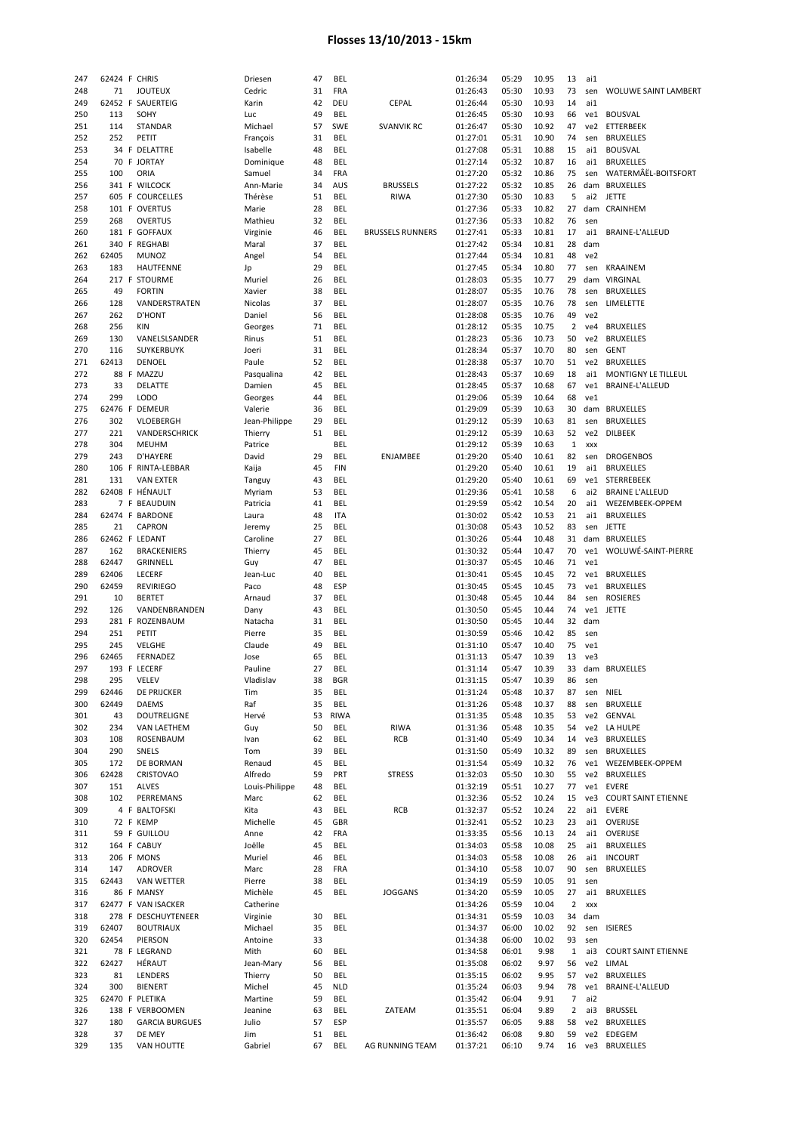| 247        | 62424 F CHRIS   |                       | Driesen        | 47       | <b>BEL</b>  |                         | 01:26:34             | 05:29          | 10.95        | 13           | ai1 |                             |
|------------|-----------------|-----------------------|----------------|----------|-------------|-------------------------|----------------------|----------------|--------------|--------------|-----|-----------------------------|
| 248        | 71              | <b>JOUTEUX</b>        | Cedric         | 31       | FRA         |                         | 01:26:43             | 05:30          | 10.93        | 73           | sen | WOLUWE SAINT LAMBERT        |
| 249        |                 | 62452 F SAUERTEIG     | Karin          | 42       | DEU         | <b>CEPAL</b>            | 01:26:44             | 05:30          | 10.93        | 14           | ai1 |                             |
| 250        | 113             | SOHY                  | Luc            | 49       | BEL         |                         | 01:26:45             | 05:30          | 10.93        | 66           | ve1 | <b>BOUSVAL</b>              |
| 251        | 114             | STANDAR               | Michael        | 57       | SWE         | <b>SVANVIK RC</b>       | 01:26:47             | 05:30          | 10.92        | 47           | ve2 | ETTERBEEK                   |
| 252        | 252             | PETIT                 | François       | 31       | <b>BEL</b>  |                         | 01:27:01             | 05:31          | 10.90        | 74           | sen | <b>BRUXELLES</b>            |
| 253        |                 | 34 F DELATTRE         | Isabelle       | 48       | <b>BEL</b>  |                         | 01:27:08             | 05:31          | 10.88        | 15           | ai1 | <b>BOUSVAL</b>              |
| 254        |                 | 70 F JORTAY           | Dominique      | 48       | <b>BEL</b>  |                         | 01:27:14             | 05:32          | 10.87        | 16           | ai1 | <b>BRUXELLES</b>            |
| 255        | 100             | ORIA                  | Samuel         | 34       | FRA         |                         | 01:27:20             | 05:32          | 10.86        | 75           | sen | WATERMÂËL-BOITSFORT         |
| 256        |                 | 341 F WILCOCK         | Ann-Marie      | 34       | AUS         | <b>BRUSSELS</b>         | 01:27:22             | 05:32          | 10.85        | 26           |     | dam BRUXELLES               |
| 257        |                 | 605 F COURCELLES      | Thérèse        | 51       | BEL         | <b>RIWA</b>             | 01:27:30             | 05:30          | 10.83        | 5            | ai2 | <b>JETTE</b>                |
| 258        |                 | 101 F OVERTUS         | Marie          | 28       | BEL         |                         | 01:27:36             | 05:33          | 10.82        | 27           |     | dam CRAINHEM                |
| 259        | 268             | <b>OVERTUS</b>        | Mathieu        | 32       | BEL         |                         | 01:27:36             | 05:33          | 10.82        | 76           | sen |                             |
| 260        |                 | 181 F GOFFAUX         | Virginie       | 46       | BEL         | <b>BRUSSELS RUNNERS</b> | 01:27:41             | 05:33          | 10.81        | 17           | ai1 | BRAINE-L'ALLEUD             |
| 261        |                 | 340 F REGHABI         | Maral          | 37       | BEL         |                         | 01:27:42             | 05:34          | 10.81        | 28           | dam |                             |
|            |                 |                       |                |          |             |                         |                      |                |              |              |     |                             |
| 262        | 62405           | <b>MUNOZ</b>          | Angel          | 54       | BEL         |                         | 01:27:44             | 05:34          | 10.81        | 48           | ve2 |                             |
| 263        | 183             | <b>HAUTFENNE</b>      | Jp             | 29       | <b>BEL</b>  |                         | 01:27:45             | 05:34          | 10.80        | 77           | sen | <b>KRAAINEM</b>             |
| 264        |                 | 217 F STOURME         | Muriel         | 26       | <b>BEL</b>  |                         | 01:28:03             | 05:35          | 10.77        | 29           |     | dam VIRGINAL                |
| 265        | 49              | <b>FORTIN</b>         | Xavier         | 38       | <b>BEL</b>  |                         | 01:28:07             | 05:35          | 10.76        | 78           | sen | <b>BRUXELLES</b>            |
| 266        | 128             | VANDERSTRATEN         | Nicolas        | 37       | BEL         |                         | 01:28:07             | 05:35          | 10.76        | 78           | sen | LIMELETTE                   |
| 267        | 262             | <b>D'HONT</b>         | Daniel         | 56       | BEL         |                         | 01:28:08             | 05:35          | 10.76        | 49           | ve2 |                             |
| 268        | 256             | KIN                   | Georges        | 71       | BEL         |                         | 01:28:12             | 05:35          | 10.75        | 2            | ve4 | <b>BRUXELLES</b>            |
| 269        | 130             | VANELSLSANDER         | Rinus          | 51       | BEL         |                         | 01:28:23             | 05:36          | 10.73        | 50           | ve2 | <b>BRUXELLES</b>            |
| 270        | 116             | <b>SUYKERBUYK</b>     | Joeri          | 31       | BEL         |                         | 01:28:34             | 05:37          | 10.70        | 80           | sen | <b>GENT</b>                 |
| 271        | 62413           | DENOEL                | Paule          | 52       | <b>BEL</b>  |                         | 01:28:38             | 05:37          | 10.70        | 51           | ve2 | <b>BRUXELLES</b>            |
| 272        |                 | 88 F MAZZU            | Pasqualina     | 42       | BEL         |                         | 01:28:43             | 05:37          | 10.69        | 18           | ai1 | MONTIGNY LE TILLEUL         |
| 273        | 33              | DELATTE               | Damien         | 45       | BEL         |                         | 01:28:45             | 05:37          | 10.68        | 67           | ve1 | BRAINE-L'ALLEUD             |
| 274        | 299             | <b>LODO</b>           | Georges        | 44       | BEL         |                         | 01:29:06             | 05:39          | 10.64        | 68           | ve1 |                             |
| 275        |                 | 62476 F DEMEUR        | Valerie        | 36       | BEL         |                         | 01:29:09             | 05:39          | 10.63        | 30           |     | dam BRUXELLES               |
|            | 302             |                       |                | 29       | BEL         |                         | 01:29:12             | 05:39          | 10.63        | 81           |     | <b>BRUXELLES</b>            |
| 276        |                 | VLOEBERGH             | Jean-Philippe  |          |             |                         |                      |                |              |              | sen |                             |
| 277        | 221             | VANDERSCHRICK         | Thierry        | 51       | <b>BEL</b>  |                         | 01:29:12             | 05:39          | 10.63        | 52           |     | ve2 DILBEEK                 |
| 278        | 304             | <b>MEUHM</b>          | Patrice        |          | BEL         |                         | 01:29:12             | 05:39          | 10.63        | $\mathbf{1}$ | XXX |                             |
| 279        | 243             | <b>D'HAYERE</b>       | David          | 29       | <b>BEL</b>  | ENJAMBEE                | 01:29:20             | 05:40          | 10.61        | 82           | sen | <b>DROGENBOS</b>            |
| 280        |                 | 106 F RINTA-LEBBAR    | Kaija          | 45       | <b>FIN</b>  |                         | 01:29:20             | 05:40          | 10.61        | 19           | ai1 | <b>BRUXELLES</b>            |
| 281        | 131             | <b>VAN EXTER</b>      | Tanguy         | 43       | BEL         |                         | 01:29:20             | 05:40          | 10.61        | 69           |     | ve1 STERREBEEK              |
| 282        |                 | 62408 F HÉNAULT       | Myriam         | 53       | BEL         |                         | 01:29:36             | 05:41          | 10.58        | 6            | ai2 | <b>BRAINE L'ALLEUD</b>      |
| 283        |                 | 7 F BEAUDUIN          | Patricia       | 41       | BEL         |                         | 01:29:59             | 05:42          | 10.54        | 20           | ai1 | WEZEMBEEK-OPPEM             |
| 284        |                 | 62474 F BARDONE       | Laura          | 48       | <b>ITA</b>  |                         | 01:30:02             | 05:42          | 10.53        | 21           | ai1 | <b>BRUXELLES</b>            |
| 285        | 21              | <b>CAPRON</b>         | Jeremy         | 25       | BEL         |                         | 01:30:08             | 05:43          | 10.52        | 83           | sen | <b>JETTE</b>                |
| 286        | 62462 F LEDANT  |                       | Caroline       | 27       | BEL         |                         | 01:30:26             | 05:44          | 10.48        | 31           |     | dam BRUXELLES               |
| 287        | 162             | <b>BRACKENIERS</b>    | Thierry        | 45       | BEL         |                         | 01:30:32             | 05:44          | 10.47        | 70           | ve1 | WOLUWÉ-SAINT-PIERRE         |
| 288        | 62447           | GRINNELL              | Guy            | 47       | BEL         |                         | 01:30:37             | 05:45          | 10.46        | 71           | ve1 |                             |
|            |                 |                       |                |          |             |                         |                      |                |              |              |     |                             |
|            |                 |                       |                |          |             |                         |                      |                |              |              |     |                             |
| 289        | 62406           | <b>LECERF</b>         | Jean-Luc       | 40       | BEL         |                         | 01:30:41             | 05:45          | 10.45        | 72           | ve1 | <b>BRUXELLES</b>            |
| 290        | 62459           | REVIRIEGO             | Paco           | 48       | ESP         |                         | 01:30:45             | 05:45          | 10.45        | 73           |     | ve1 BRUXELLES               |
| 291        | 10              | <b>BERTET</b>         | Arnaud         | 37       | <b>BEL</b>  |                         | 01:30:48             | 05:45          | 10.44        | 84           | sen | <b>ROSIERES</b>             |
| 292        | 126             | VANDENBRANDEN         | Dany           | 43       | <b>BEL</b>  |                         | 01:30:50             | 05:45          | 10.44        | 74           |     | ve1 JETTE                   |
| 293        |                 | 281 F ROZENBAUM       | Natacha        | 31       | BEL         |                         | 01:30:50             | 05:45          | 10.44        | 32           | dam |                             |
| 294        | 251             | PETIT                 | Pierre         | 35       | BEL         |                         | 01:30:59             | 05:46          | 10.42        | 85           | sen |                             |
| 295        | 245             | VELGHE                | Claude         | 49       | BEL         |                         | 01:31:10             | 05:47          | 10.40        | 75           | ve1 |                             |
| 296        | 62465           | FERNADEZ              | Jose           | 65       | BEL         |                         | 01:31:13             | 05:47          | 10.39        | 13           | ve3 |                             |
| 297        |                 | 193 F LECERF          | Pauline        | 27       | BEL         |                         | 01:31:14             | 05:47          | 10.39        | 33           |     | dam BRUXELLES               |
| 298        | 295             | <b>VELEV</b>          | Vladislav      | 38       | <b>BGR</b>  |                         | 01:31:15             | 05:47          | 10.39        | 86           | sen |                             |
| 299        | 62446           | DE PRIJCKER           | Tim            | 35       | BEL         |                         | 01:31:24             | 05:48          | 10.37        | 87           | sen | NIEL                        |
| 300        | 62449           | <b>DAEMS</b>          | Raf            | 35       | <b>BEL</b>  |                         | 01:31:26             | 05:48          | 10.37        | 88           | sen | <b>BRUXELLE</b>             |
| 301        | 43              | DOUTRELIGNE           | Hervé          | 53       | <b>RIWA</b> |                         | 01:31:35             | 05:48          | 10.35        | 53           |     | ve2 GENVAL                  |
| 302        | 234             | <b>VAN LAETHEM</b>    | Guy            | 50       | <b>BEL</b>  | <b>RIWA</b>             | 01:31:36             | 05:48          | 10.35        | 54           |     | ve2 LA HULPE                |
| 303        | 108             | ROSENBAUM             | Ivan           | 62       | BEL         | RCB                     | 01:31:40             | 05:49          | 10.34        | 14           |     | ve3 BRUXELLES               |
| 304        | 290             | SNELS                 | Tom            | 39       | BEL         |                         | 01:31:50             | 05:49          | 10.32        | 89           | sen | <b>BRUXELLES</b>            |
| 305        | 172             | DE BORMAN             | Renaud         | 45       | BEL         |                         | 01:31:54             | 05:49          | 10.32        | 76           |     | ve1 WEZEMBEEK-OPPEM         |
| 306        | 62428           | <b>CRISTOVAO</b>      | Alfredo        | 59       | PRT         | <b>STRESS</b>           | 01:32:03             | 05:50          | 10.30        | 55           |     | ve2 BRUXELLES               |
| 307        | 151             | <b>ALVES</b>          | Louis-Philippe | 48       | BEL         |                         | 01:32:19             | 05:51          | 10.27        | 77           |     | ve1 EVERE                   |
|            |                 |                       |                |          |             |                         |                      |                |              |              |     |                             |
| 308        | 102             | PERREMANS             | Marc           | 62       | <b>BEL</b>  |                         | 01:32:36             | 05:52          | 10.24        | 15           | ve3 | <b>COURT SAINT ETIENNE</b>  |
| 309        |                 | 4 F BALTOFSKI         | Kita           | 43       | BEL         | RCB                     | 01:32:37             | 05:52          | 10.24        | 22           |     | ai1 EVERE                   |
| 310        |                 | 72 F KEMP             | Michelle       | 45       | GBR         |                         | 01:32:41             | 05:52          | 10.23        | 23           |     | ai1 OVERIJSE                |
| 311        |                 | 59 F GUILLOU          | Anne           | 42       | <b>FRA</b>  |                         | 01:33:35             | 05:56          | 10.13        | 24           |     | ai1 OVERIJSE                |
| 312        |                 | 164 F CABUY           | Joëlle         | 45       | BEL         |                         | 01:34:03             | 05:58          | 10.08        | 25           | ai1 | <b>BRUXELLES</b>            |
| 313        |                 | 206 F MONS            | Muriel         | 46       | BEL         |                         | 01:34:03             | 05:58          | 10.08        | 26           | ai1 | <b>INCOURT</b>              |
| 314        | 147             | <b>ADROVER</b>        | Marc           | 28       | FRA         |                         | 01:34:10             | 05:58          | 10.07        | 90           | sen | <b>BRUXELLES</b>            |
| 315        | 62443           | <b>VAN WETTER</b>     | Pierre         | 38       | <b>BEL</b>  |                         | 01:34:19             | 05:59          | 10.05        | 91           | sen |                             |
| 316        |                 | 86 F MANSY            | Michèle        | 45       | <b>BEL</b>  | <b>JOGGANS</b>          | 01:34:20             | 05:59          | 10.05        | 27           |     | ai1 BRUXELLES               |
| 317        |                 | 62477 F VAN ISACKER   | Catherine      |          |             |                         | 01:34:26             | 05:59          | 10.04        | 2            | XXX |                             |
| 318        |                 | 278 F DESCHUYTENEER   | Virginie       | 30       | BEL         |                         | 01:34:31             | 05:59          | 10.03        | 34           | dam |                             |
| 319        | 62407           | <b>BOUTRIAUX</b>      | Michael        | 35       | <b>BEL</b>  |                         | 01:34:37             | 06:00          | 10.02        | 92           |     | sen ISIERES                 |
| 320        | 62454           | PIERSON               | Antoine        | 33       |             |                         | 01:34:38             | 06:00          | 10.02        | 93           | sen |                             |
| 321        |                 | 78 F LEGRAND          | Mith           | 60       | <b>BEL</b>  |                         | 01:34:58             | 06:01          | 9.98         | 1            | ai3 | <b>COURT SAINT ETIENNE</b>  |
| 322        | 62427           | HÉRAUT                | Jean-Mary      | 56       | BEL         |                         | 01:35:08             | 06:02          | 9.97         | 56           | ve2 | LIMAL                       |
| 323        | 81              | LENDERS               | Thierry        | 50       | <b>BEL</b>  |                         | 01:35:15             | 06:02          | 9.95         | 57           | ve2 | BRUXELLES                   |
|            |                 |                       |                |          |             |                         |                      |                |              |              | ve1 |                             |
| 324        | 300             | <b>BIENERT</b>        | Michel         | 45       | <b>NLD</b>  |                         | 01:35:24             | 06:03          | 9.94         | 78           |     | BRAINE-L'ALLEUD             |
| 325        | 62470 F PLETIKA |                       | Martine        | 59       | BEL         |                         | 01:35:42             | 06:04          | 9.91         | 7            | ai2 |                             |
| 326        |                 | 138 F VERBOOMEN       | Jeanine        | 63       | BEL         | ZATEAM                  | 01:35:51             | 06:04          | 9.89         | 2            | ai3 | <b>BRUSSEL</b>              |
| 327        | 180             | <b>GARCIA BURGUES</b> | Julio          | 57       | ESP         |                         | 01:35:57             | 06:05          | 9.88         | 58           | ve2 | <b>BRUXELLES</b>            |
| 328<br>329 | 37<br>135       | DE MEY<br>VAN HOUTTE  | Jim<br>Gabriel | 51<br>67 | BEL<br>BEL  | AG RUNNING TEAM         | 01:36:42<br>01:37:21 | 06:08<br>06:10 | 9.80<br>9.74 | 59<br>16     |     | ve2 EDEGEM<br>ve3 BRUXELLES |